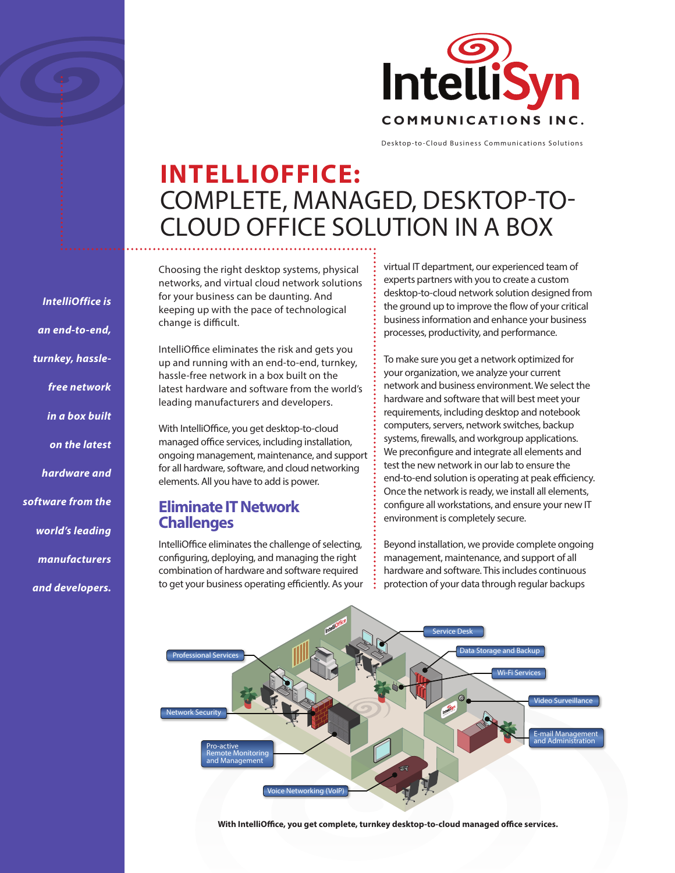

Desktop-to-Cloud Business Communications Solutions

# **INTELLIOFFICE:** COMPLETE, MANAGED, DESKTOP-TO-CLOUD OFFICE SOLUTION IN A BOX

Choosing the right desktop systems, physical networks, and virtual cloud network solutions for your business can be daunting. And keeping up with the pace of technological change is difficult.

IntelliOffice eliminates the risk and gets you up and running with an end-to-end, turnkey, hassle-free network in a box built on the latest hardware and software from the world's leading manufacturers and developers.

With IntelliOffice, you get desktop-to-cloud managed office services, including installation, ongoing management, maintenance, and support for all hardware, software, and cloud networking elements. All you have to add is power.

### **Eliminate IT Network Challenges**

IntelliOffice eliminates the challenge of selecting, configuring, deploying, and managing the right combination of hardware and software required to get your business operating efficiently. As your virtual IT department, our experienced team of experts partners with you to create a custom desktop-to-cloud network solution designed from the ground up to improve the flow of your critical business information and enhance your business processes, productivity, and performance.

To make sure you get a network optimized for your organization, we analyze your current network and business environment. We select the hardware and software that will best meet your requirements, including desktop and notebook computers, servers, network switches, backup systems, firewalls, and workgroup applications. We preconfigure and integrate all elements and test the new network in our lab to ensure the end-to-end solution is operating at peak efficiency. Once the network is ready, we install all elements, configure all workstations, and ensure your new IT environment is completely secure.

Beyond installation, we provide complete ongoing management, maintenance, and support of all hardware and software. This includes continuous protection of your data through regular backups



**With IntelliOffice, you get complete, turnkey desktop-to-cloud managed office services.** 

*IntelliOffice is an end-to-end, turnkey, hasslefree network in a box built on the latest hardware and software from the world's leading manufacturers* 

*and developers.*